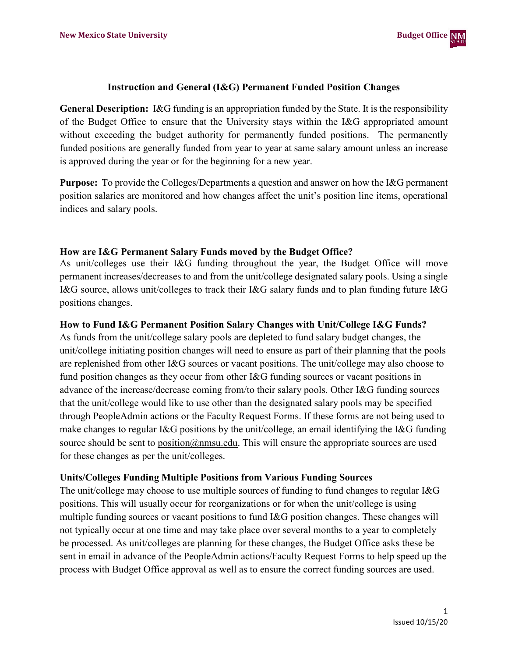

#### **Instruction and General (I&G) Permanent Funded Position Changes**

**General Description:** I&G funding is an appropriation funded by the State. It is the responsibility of the Budget Office to ensure that the University stays within the I&G appropriated amount without exceeding the budget authority for permanently funded positions. The permanently funded positions are generally funded from year to year at same salary amount unless an increase is approved during the year or for the beginning for a new year.

**Purpose:** To provide the Colleges/Departments a question and answer on how the I&G permanent position salaries are monitored and how changes affect the unit's position line items, operational indices and salary pools.

#### **How are I&G Permanent Salary Funds moved by the Budget Office?**

As unit/colleges use their I&G funding throughout the year, the Budget Office will move permanent increases/decreases to and from the unit/college designated salary pools. Using a single I&G source, allows unit/colleges to track their I&G salary funds and to plan funding future I&G positions changes.

### **How to Fund I&G Permanent Position Salary Changes with Unit/College I&G Funds?**

As funds from the unit/college salary pools are depleted to fund salary budget changes, the unit/college initiating position changes will need to ensure as part of their planning that the pools are replenished from other I&G sources or vacant positions. The unit/college may also choose to fund position changes as they occur from other I&G funding sources or vacant positions in advance of the increase/decrease coming from/to their salary pools. Other I&G funding sources that the unit/college would like to use other than the designated salary pools may be specified through PeopleAdmin actions or the Faculty Request Forms. If these forms are not being used to make changes to regular I&G positions by the unit/college, an email identifying the I&G funding source should be sent to [position@nmsu.edu.](mailto:position@nmsu.edu) This will ensure the appropriate sources are used for these changes as per the unit/colleges.

## **Units/Colleges Funding Multiple Positions from Various Funding Sources**

The unit/college may choose to use multiple sources of funding to fund changes to regular I&G positions. This will usually occur for reorganizations or for when the unit/college is using multiple funding sources or vacant positions to fund I&G position changes. These changes will not typically occur at one time and may take place over several months to a year to completely be processed. As unit/colleges are planning for these changes, the Budget Office asks these be sent in email in advance of the PeopleAdmin actions/Faculty Request Forms to help speed up the process with Budget Office approval as well as to ensure the correct funding sources are used.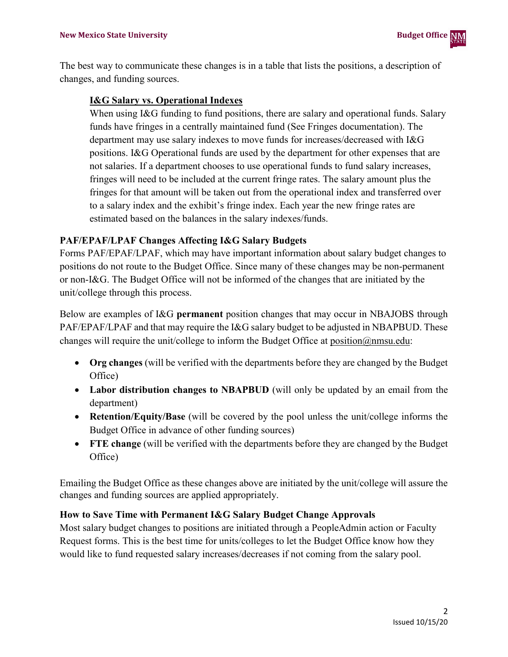The best way to communicate these changes is in a table that lists the positions, a description of changes, and funding sources.

## **I&G Salary vs. Operational Indexes**

When using I&G funding to fund positions, there are salary and operational funds. Salary funds have fringes in a centrally maintained fund (See Fringes documentation). The department may use salary indexes to move funds for increases/decreased with I&G positions. I&G Operational funds are used by the department for other expenses that are not salaries. If a department chooses to use operational funds to fund salary increases, fringes will need to be included at the current fringe rates. The salary amount plus the fringes for that amount will be taken out from the operational index and transferred over to a salary index and the exhibit's fringe index. Each year the new fringe rates are estimated based on the balances in the salary indexes/funds.

# **PAF/EPAF/LPAF Changes Affecting I&G Salary Budgets**

Forms PAF/EPAF/LPAF, which may have important information about salary budget changes to positions do not route to the Budget Office. Since many of these changes may be non-permanent or non-I&G. The Budget Office will not be informed of the changes that are initiated by the unit/college through this process.

Below are examples of I&G **permanent** position changes that may occur in NBAJOBS through PAF/EPAF/LPAF and that may require the I&G salary budget to be adjusted in NBAPBUD. These changes will require the unit/college to inform the Budget Office at [position@nmsu.edu:](mailto:position@nmsu.edu)

- **Org changes** (will be verified with the departments before they are changed by the Budget Office)
- **Labor distribution changes to NBAPBUD** (will only be updated by an email from the department)
- **Retention/Equity/Base** (will be covered by the pool unless the unit/college informs the Budget Office in advance of other funding sources)
- **FTE change** (will be verified with the departments before they are changed by the Budget Office)

Emailing the Budget Office as these changes above are initiated by the unit/college will assure the changes and funding sources are applied appropriately.

## **How to Save Time with Permanent I&G Salary Budget Change Approvals**

Most salary budget changes to positions are initiated through a PeopleAdmin action or Faculty Request forms. This is the best time for units/colleges to let the Budget Office know how they would like to fund requested salary increases/decreases if not coming from the salary pool.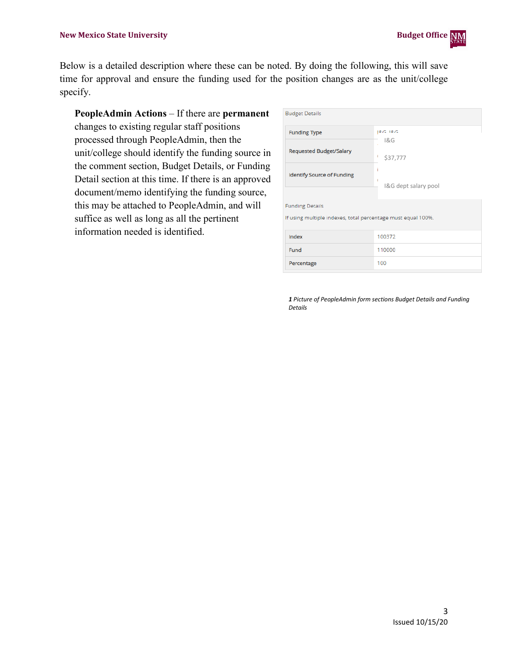Below is a detailed description where these can be noted. By doing the following, this will save time for approval and ensure the funding used for the position changes are as the unit/college specify.

**PeopleAdmin Actions** – If there are **permanent** changes to existing regular staff positions processed through PeopleAdmin, then the unit/college should identify the funding source in the comment section, Budget Details, or Funding Detail section at this time. If there is an approved document/memo identifying the funding source, this may be attached to PeopleAdmin, and will suffice as well as long as all the pertinent information needed is identified.

| <b>Budget Details</b>                                                                  |                      |  |  |  |  |  |  |
|----------------------------------------------------------------------------------------|----------------------|--|--|--|--|--|--|
| <b>Funding Type</b>                                                                    | $R.G$ $R.G$          |  |  |  |  |  |  |
| <b>Requested Budget/Salary</b>                                                         | 18G<br>\$37,777      |  |  |  |  |  |  |
| <b>Identify Source of Funding</b>                                                      | I&G dept salary pool |  |  |  |  |  |  |
| <b>Funding Details</b><br>If using multiple indexes, total percentage must equal 100%. |                      |  |  |  |  |  |  |
| Index                                                                                  | 100372               |  |  |  |  |  |  |
| Fund                                                                                   | 110000               |  |  |  |  |  |  |
| Percentage                                                                             | 100                  |  |  |  |  |  |  |

*1 Picture of PeopleAdmin form sections Budget Details and Funding Details*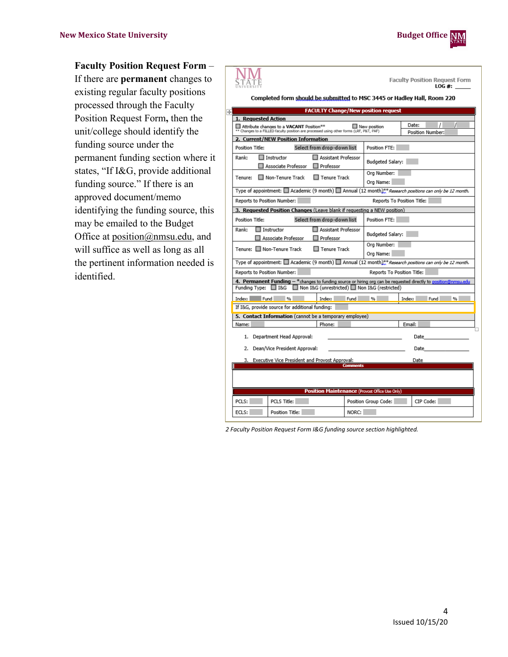

**Faculty Position Request Form** –

**NM** 

R

If there are **permanent** changes to existing regular faculty positions processed through the Faculty Position Request Form**,** then the unit/college should identify the funding source under the permanent funding section where it states, "If I&G, provide additional funding source." If there is an approved document/memo identifying the funding source, this may be emailed to the Budget Office at [position@nmsu.edu,](mailto:position@nmsu.edu) and will suffice as well as long as all the pertinent information needed is identified.

| Facurty Position Request Form<br>STATE<br>LOG #:                                                                                                                                         |                                                                                                                   |                                                        |       |                                                                                                                                                                                                                                |  |        |               |  |
|------------------------------------------------------------------------------------------------------------------------------------------------------------------------------------------|-------------------------------------------------------------------------------------------------------------------|--------------------------------------------------------|-------|--------------------------------------------------------------------------------------------------------------------------------------------------------------------------------------------------------------------------------|--|--------|---------------|--|
| Completed form should be submitted to MSC 3445 or Hadley Hall, Room 220                                                                                                                  |                                                                                                                   |                                                        |       |                                                                                                                                                                                                                                |  |        |               |  |
| <b>FACULTY Change/New position request</b>                                                                                                                                               |                                                                                                                   |                                                        |       |                                                                                                                                                                                                                                |  |        |               |  |
| 1. Requested Action                                                                                                                                                                      |                                                                                                                   |                                                        |       |                                                                                                                                                                                                                                |  |        |               |  |
| Date:<br>Attribute changes to a VACANT Position**<br>New position<br>** Changes to a FILLED faculty position are processed using other forms (LRF, P&T, PAF)<br>Position Number:         |                                                                                                                   |                                                        |       |                                                                                                                                                                                                                                |  |        |               |  |
|                                                                                                                                                                                          | 2. Current/NEW Position Information                                                                               |                                                        |       |                                                                                                                                                                                                                                |  |        |               |  |
| <b>Position Title:</b>                                                                                                                                                                   |                                                                                                                   | Select from drop-down list                             |       | Position FTE:                                                                                                                                                                                                                  |  |        |               |  |
| Rank:                                                                                                                                                                                    | $\Box$ Instructor<br>Associate Professor                                                                          | Assistant Professor<br>$\Box$ Professor                |       | Budgeted Salary:                                                                                                                                                                                                               |  |        |               |  |
| Tenure:                                                                                                                                                                                  | Non-Tenure Track                                                                                                  | Tenure Track                                           |       | Ora Number:<br>Org Name:                                                                                                                                                                                                       |  |        |               |  |
|                                                                                                                                                                                          | Type of appointment: $\Box$ Academic (9 month) $\Box$ Annual (12 month)**Research positions can only be 12 month. |                                                        |       |                                                                                                                                                                                                                                |  |        |               |  |
|                                                                                                                                                                                          | Reports to Position Number:<br>Reports To Position Title:                                                         |                                                        |       |                                                                                                                                                                                                                                |  |        |               |  |
|                                                                                                                                                                                          | 3. Requested Position Changes (Leave blank if requesting a NEW position)                                          |                                                        |       |                                                                                                                                                                                                                                |  |        |               |  |
| Position Title:                                                                                                                                                                          | Select from drop-down list<br>Position FTE:                                                                       |                                                        |       |                                                                                                                                                                                                                                |  |        |               |  |
| Rank:                                                                                                                                                                                    | $\Box$ Instructor<br>Associate Professor                                                                          | Assistant Professor<br>Budgeted Salary:<br>□ Professor |       |                                                                                                                                                                                                                                |  |        |               |  |
|                                                                                                                                                                                          | Tenure: □ Non-Tenure Track                                                                                        | Org Number:<br>Tenure Track<br>Org Name:               |       |                                                                                                                                                                                                                                |  |        |               |  |
|                                                                                                                                                                                          | Type of appointment: $\Box$ Academic (9 month) $\Box$ Annual (12 month)**Research positions can only be 12 month. |                                                        |       |                                                                                                                                                                                                                                |  |        |               |  |
|                                                                                                                                                                                          | Reports to Position Number:<br>Reports To Position Title:                                                         |                                                        |       |                                                                                                                                                                                                                                |  |        |               |  |
| 4. Permanent Funding - *changes to funding source or hiring org can be requested directly to position@nmsu.edu<br>Funding Type: U I&G<br>■ Non I&G (unrestricted) ■ Non I&G (restricted) |                                                                                                                   |                                                        |       |                                                                                                                                                                                                                                |  |        |               |  |
|                                                                                                                                                                                          | Index: Fund %                                                                                                     | Index: Fund %                                          |       |                                                                                                                                                                                                                                |  |        | Index: Fund % |  |
|                                                                                                                                                                                          | If I&G, provide source for additional funding:                                                                    |                                                        |       |                                                                                                                                                                                                                                |  |        |               |  |
|                                                                                                                                                                                          | 5. Contact Information (cannot be a temporary employee)                                                           |                                                        |       |                                                                                                                                                                                                                                |  |        |               |  |
| Name:                                                                                                                                                                                    |                                                                                                                   | Phone:                                                 |       |                                                                                                                                                                                                                                |  | Email: |               |  |
| 1. Department Head Approval:                                                                                                                                                             |                                                                                                                   |                                                        |       | Date and the second state of the second state in the second state of the second state in the second state of the second state in the second state in the second state in the second state in the second state in the second st |  |        |               |  |
| Dean/Vice President Approval:<br>2.                                                                                                                                                      |                                                                                                                   |                                                        |       | Date and the second state of the second state in the second state of the second state in the second state in the second state in the second state in the second state in the second state in the second state in the second st |  |        |               |  |
| Executive Vice President and Provost Approval:<br>3.<br>Date<br><b>Comments</b>                                                                                                          |                                                                                                                   |                                                        |       |                                                                                                                                                                                                                                |  |        |               |  |
|                                                                                                                                                                                          |                                                                                                                   |                                                        |       |                                                                                                                                                                                                                                |  |        |               |  |
| <b>Position Maintenance (Provost Office Use Only)</b>                                                                                                                                    |                                                                                                                   |                                                        |       |                                                                                                                                                                                                                                |  |        |               |  |
| PCLS:                                                                                                                                                                                    | PCLS Title:                                                                                                       |                                                        |       | Position Group Code:                                                                                                                                                                                                           |  |        | CIP Code:     |  |
| ECI.S:                                                                                                                                                                                   | Position Title:                                                                                                   |                                                        | NORC: |                                                                                                                                                                                                                                |  |        |               |  |

*2 Faculty Position Request Form I&G funding source section highlighted.*